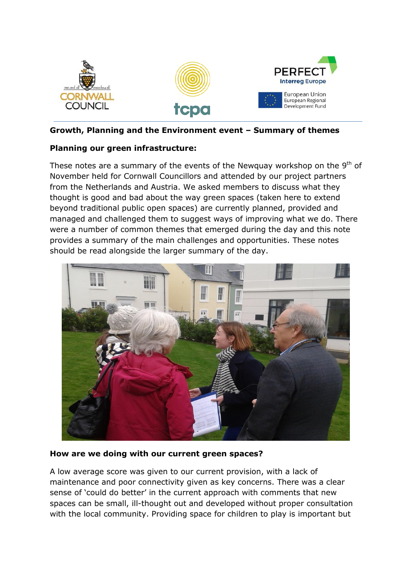

#### **Growth, Planning and the Environment event – Summary of themes**

## **Planning our green infrastructure:**

These notes are a summary of the events of the Newquay workshop on the  $9<sup>th</sup>$  of November held for Cornwall Councillors and attended by our project partners from the Netherlands and Austria. We asked members to discuss what they thought is good and bad about the way green spaces (taken here to extend beyond traditional public open spaces) are currently planned, provided and managed and challenged them to suggest ways of improving what we do. There were a number of common themes that emerged during the day and this note provides a summary of the main challenges and opportunities. These notes should be read alongside the larger summary of the day.



#### **How are we doing with our current green spaces?**

A low average score was given to our current provision, with a lack of maintenance and poor connectivity given as key concerns. There was a clear sense of 'could do better' in the current approach with comments that new spaces can be small, ill-thought out and developed without proper consultation with the local community. Providing space for children to play is important but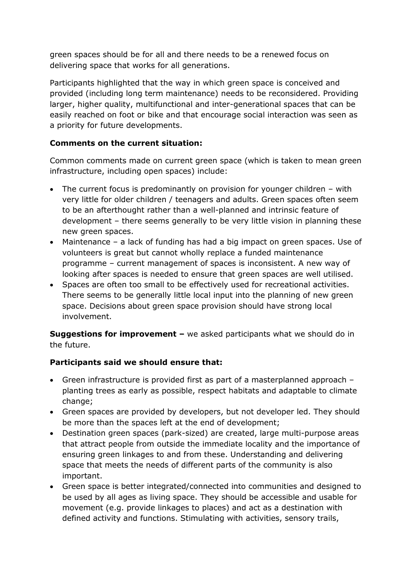green spaces should be for all and there needs to be a renewed focus on delivering space that works for all generations.

Participants highlighted that the way in which green space is conceived and provided (including long term maintenance) needs to be reconsidered. Providing larger, higher quality, multifunctional and inter-generational spaces that can be easily reached on foot or bike and that encourage social interaction was seen as a priority for future developments.

# **Comments on the current situation:**

Common comments made on current green space (which is taken to mean green infrastructure, including open spaces) include:

- The current focus is predominantly on provision for younger children with very little for older children / teenagers and adults. Green spaces often seem to be an afterthought rather than a well-planned and intrinsic feature of development – there seems generally to be very little vision in planning these new green spaces.
- Maintenance a lack of funding has had a big impact on green spaces. Use of volunteers is great but cannot wholly replace a funded maintenance programme – current management of spaces is inconsistent. A new way of looking after spaces is needed to ensure that green spaces are well utilised.
- Spaces are often too small to be effectively used for recreational activities. There seems to be generally little local input into the planning of new green space. Decisions about green space provision should have strong local involvement.

**Suggestions for improvement –** we asked participants what we should do in the future.

# **Participants said we should ensure that:**

- Green infrastructure is provided first as part of a masterplanned approach planting trees as early as possible, respect habitats and adaptable to climate change;
- Green spaces are provided by developers, but not developer led. They should be more than the spaces left at the end of development;
- Destination green spaces (park-sized) are created, large multi-purpose areas that attract people from outside the immediate locality and the importance of ensuring green linkages to and from these. Understanding and delivering space that meets the needs of different parts of the community is also important.
- Green space is better integrated/connected into communities and designed to be used by all ages as living space. They should be accessible and usable for movement (e.g. provide linkages to places) and act as a destination with defined activity and functions. Stimulating with activities, sensory trails,